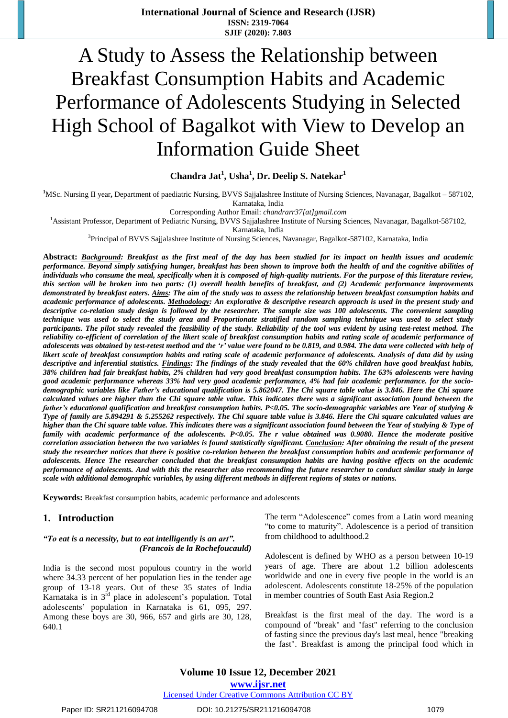# A Study to Assess the Relationship between Breakfast Consumption Habits and Academic Performance of Adolescents Studying in Selected High School of Bagalkot with View to Develop an Information Guide Sheet

# **Chandra Jat<sup>1</sup> , Usha<sup>1</sup> , Dr. Deelip S. Natekar<sup>1</sup>**

<sup>1</sup>MSc. Nursing II year, Department of paediatric Nursing, BVVS Sajjalashree Institute of Nursing Sciences, Navanagar, Bagalkot – 587102, Karnataka, India

Corresponding Author Email: *[chandrarr37\[at\]gmail.com](mailto:chandrarr37@gmail.com)*

<sup>1</sup>Assistant Professor, Department of Pediatric Nursing, BVVS Sajjalashree Institute of Nursing Sciences, Navanagar, Bagalkot-587102,

Karnataka, India

<sup>3</sup>Principal of BVVS Sajjalashree Institute of Nursing Sciences, Navanagar, Bagalkot-587102, Karnataka, India

Abstract: Background: Breakfast as the first meal of the day has been studied for its impact on health issues and academic performance. Beyond simply satisfying hunger, breakfast has been shown to improve both the health of and the cognitive abilities of individuals who consume the meal, specifically when it is composed of high-quality nutrients. For the purpose of this literature review, this section will be broken into two parts: (1) overall health benefits of breakfast, and (2) Academic performance improvements demonstrated by breakfast eaters. Aims: The aim of the study was to assess the relationship between breakfast consumption habits and academic performance of adolescents. Methodology: An explorative & descriptive research approach is used in the present study and descriptive co-relation study design is followed by the researcher. The sample size was 100 adolescents. The convenient sampling technique was used to select the study area and Proportionate stratified random sampling technique was used to select study participants. The pilot study revealed the feasibility of the study. Reliability of the tool was evident by using test-retest method. The reliability co-efficient of correlation of the likert scale of breakfast consumption habits and rating scale of academic performance of adolescents was obtained by test-retest method and the 'r' value were found to be 0.819, and 0.984. The data were collected with help of likert scale of breakfast consumption habits and rating scale of academic performance of adolescents. Analysis of data did by using descriptive and inferential statistics. Findings: The findings of the study revealed that the 60% children have good breakfast habits, 38% children had fair breakfast habits, 2% children had very good breakfast consumption habits. The 63% adolescents were having good academic performance whereas 33% had very good academic performance, 4% had fair academic performance. for the sociodemographic variables like Father's educational qualification is 5.862047. The Chi square table value is 3.846. Here the Chi square calculated values are higher than the Chi square table value. This indicates there was a significant association found between the father's educational qualification and breakfast consumption habits. P<0.05. The socio-demographic variables are Year of studying & Type of family are 5.894291 & 5.255262 respectively. The Chi square table value is 3.846. Here the Chi square calculated values are higher than the Chi square table value. This indicates there was a significant association found between the Year of studying & Type of family with academic performance of the adolescents. P<0.05. The r value obtained was 0.9080. Hence the moderate positive correlation association between the two variables is found statistically significant. Conclusion: After obtaining the result of the present study the researcher notices that there is positive co-relation between the breakfast consumption habits and academic performance of adolescents. Hence The researcher concluded that the breakfast consumption habits are having positive effects on the academic performance of adolescents. And with this the researcher also recommending the future researcher to conduct similar study in large *scale with additional demographic variables, by using different methods in different regions of states or nations.*

**Keywords:** Breakfast consumption habits, academic performance and adolescents

#### **1. Introduction**

#### *"To eat is a necessity, but to eat intelligently is an art". (Francois de la Rochefoucauld)*

India is the second most populous country in the world where 34.33 percent of her population lies in the tender age group of 13-18 years. Out of these 35 states of India Karnataka is in  $3^{rd}$  place in adolescent's population. Total adolescents' population in Karnataka is 61, 095, 297. Among these boys are 30, 966, 657 and girls are 30, 128, 640.1

The term "Adolescence" comes from a Latin word meaning "to come to maturity". Adolescence is a period of transition from childhood to adulthood.2

Adolescent is defined by WHO as a person between 10-19 years of age. There are about 1.2 billion adolescents worldwide and one in every five people in the world is an adolescent. Adolescents constitute 18-25% of the population in member countries of South East Asia Region.2

Breakfast is the first [meal](http://en.wikipedia.org/wiki/Meal) of the day. The word is a [compound](http://en.wikipedia.org/wiki/Compound_word) of "break" and ["fast"](http://en.wikipedia.org/wiki/Fasting) referring to the conclusion of fasting since the previous day's last meal, hence "breaking the fast". Breakfast is among the principal food which in

**Volume 10 Issue 12, December 2021 www.ijsr.net**

Licensed Under Creative Commons Attribution CC BY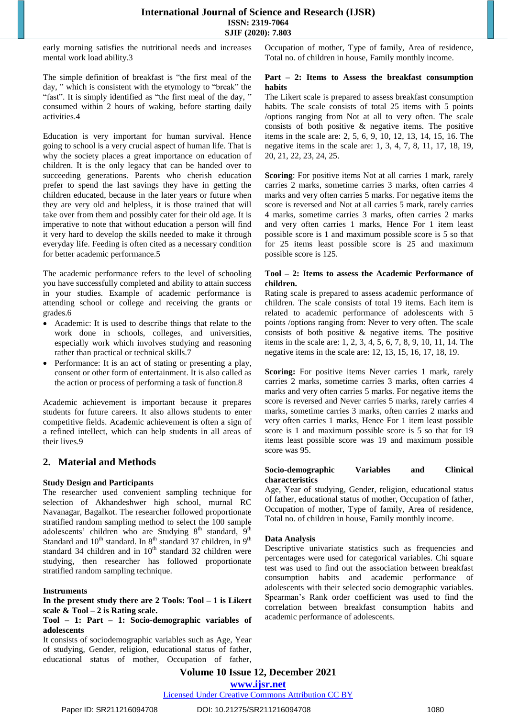early morning satisfies the nutritional needs and increases mental work load ability.3

The simple definition of breakfast is "the first meal of the day, " which is consistent with the etymology to "break" the "fast". It is simply identified as "the first meal of the day," consumed within 2 hours of waking, before starting daily activities.4

Education is very important for human survival. Hence going to school is a very crucial aspect of human life. That is why the society places a great importance on education of children. It is the only legacy that can be handed over to succeeding generations. Parents who cherish education prefer to spend the last savings they have in getting the children educated, because in the later years or future when they are very old and helpless, it is those trained that will take over from them and possibly cater for their old age. It is imperative to note that without education a person will find it very hard to develop the skills needed to make it through everyday life. Feeding is often cited as a necessary condition for better academic performance.5

The academic performance refers to the level of schooling you have successfully completed and ability to attain success in your studies. Example of academic performance is attending school or college and receiving the grants or grades.6

- Academic: It is used to [describe](https://www.collinsdictionary.com/dictionary/english/describe) things that relate to the work done in [schools,](https://www.collinsdictionary.com/dictionary/english/school) colleges, and universities, [especially](https://www.collinsdictionary.com/dictionary/english/especially) work which involves studying and [reasoning](https://www.collinsdictionary.com/dictionary/english/reason) rather than practical or technical [skills.](https://www.collinsdictionary.com/dictionary/english/skill)7
- Performance: It is an act of stating or presenting a play, consent or other form of entertainment. It is also called as the action or process of performing a task of function.8

Academic achievement is important because it prepares students for future careers. It also allows students to enter competitive fields. Academic achievement is often a sign of a refined intellect, which can help students in all areas of their lives.9

# **2. Material and Methods**

#### **Study Design and Participants**

The researcher used convenient sampling technique for selection of Akhandeshwer high school, murnal RC Navanagar, Bagalkot. The researcher followed proportionate stratified random sampling method to select the 100 sample adolescents' children who are Studying  $8<sup>th</sup>$  standard,  $9<sup>th</sup>$ Standard and  $10^{th}$  standard. In  $8^{th}$  standard 37 children, in  $9^{th}$ standard 34 children and in  $10<sup>th</sup>$  standard 32 children were studying, then researcher has followed proportionate stratified random sampling technique.

#### **Instruments**

#### **In the present study there are 2 Tools: Tool – 1 is Likert scale & Tool – 2 is Rating scale.**

#### **Tool – 1: Part – 1: Socio-demographic variables of adolescents**

It consists of sociodemographic variables such as Age, Year of studying, Gender, religion, educational status of father, educational status of mother, Occupation of father, Occupation of mother, Type of family, Area of residence, Total no. of children in house, Family monthly income.

#### **Part – 2: Items to Assess the breakfast consumption habits**

The Likert scale is prepared to assess breakfast consumption habits. The scale consists of total 25 items with 5 points /options ranging from Not at all to very often. The scale consists of both positive & negative items. The positive items in the scale are: 2, 5, 6, 9, 10, 12, 13, 14, 15, 16. The negative items in the scale are: 1, 3, 4, 7, 8, 11, 17, 18, 19, 20, 21, 22, 23, 24, 25.

**Scoring**: For positive items Not at all carries 1 mark, rarely carries 2 marks, sometime carries 3 marks, often carries 4 marks and very often carries 5 marks. For negative items the score is reversed and Not at all carries 5 mark, rarely carries 4 marks, sometime carries 3 marks, often carries 2 marks and very often carries 1 marks, Hence For 1 item least possible score is 1 and maximum possible score is 5 so that for 25 items least possible score is 25 and maximum possible score is 125.

#### **Tool – 2: Items to assess the Academic Performance of children.**

Rating scale is prepared to assess academic performance of children. The scale consists of total 19 items. Each item is related to academic performance of adolescents with 5 points /options ranging from: Never to very often. The scale consists of both positive & negative items. The positive items in the scale are: 1, 2, 3, 4, 5, 6, 7, 8, 9, 10, 11, 14. The negative items in the scale are: 12, 13, 15, 16, 17, 18, 19.

**Scoring:** For positive items Never carries 1 mark, rarely carries 2 marks, sometime carries 3 marks, often carries 4 marks and very often carries 5 marks. For negative items the score is reversed and Never carries 5 marks, rarely carries 4 marks, sometime carries 3 marks, often carries 2 marks and very often carries 1 marks, Hence For 1 item least possible score is 1 and maximum possible score is 5 so that for 19 items least possible score was 19 and maximum possible score was 95.

#### **Socio-demographic Variables and Clinical characteristics**

Age, Year of studying, Gender, religion, educational status of father, educational status of mother, Occupation of father, Occupation of mother, Type of family, Area of residence, Total no. of children in house, Family monthly income.

#### **Data Analysis**

Descriptive univariate statistics such as frequencies and percentages were used for categorical variables. Chi square test was used to find out the association between breakfast consumption habits and academic performance of adolescents with their selected socio demographic variables. Spearman's Rank order coefficient was used to find the correlation between breakfast consumption habits and academic performance of adolescents.

**Volume 10 Issue 12, December 2021**

**www.ijsr.net**

Licensed Under Creative Commons Attribution CC BY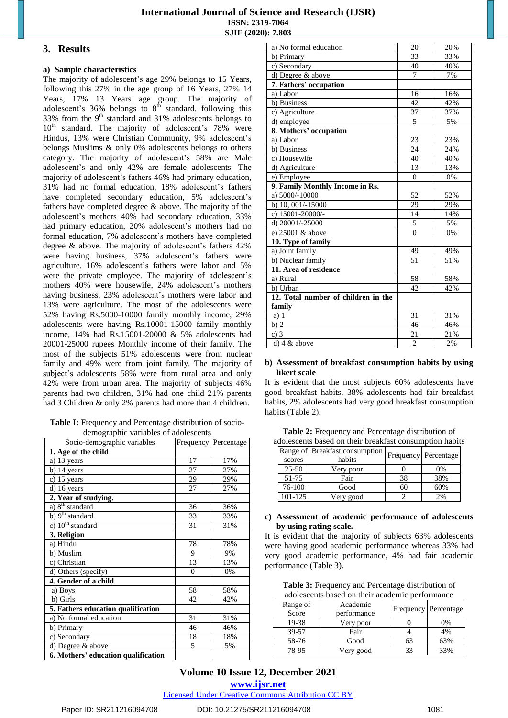# **International Journal of Science and Research (IJSR) ISSN: 2319-7064 SJIF (2020): 7.803**

#### **3. Results**

#### **a) Sample characteristics**

The majority of adolescent's age 29% belongs to 15 Years, following this 27% in the age group of 16 Years, 27% 14 Years, 17% 13 Years age group. The majority of adolescent's  $36\%$  belongs to  $8<sup>th</sup>$  standard, following this 33% from the  $9<sup>th</sup>$  standard and 31% adolescents belongs to 10<sup>th</sup> standard. The majority of adolescent's 78% were Hindus, 13% were Christian Community, 9% adolescent's belongs Muslims & only 0% adolescents belongs to others category. The majority of adolescent's 58% are Male adolescent's and only 42% are female adolescents. The majority of adolescent's fathers 46% had primary education, 31% had no formal education, 18% adolescent's fathers have completed secondary education, 5% adolescent's fathers have completed degree & above. The majority of the adolescent's mothers 40% had secondary education, 33% had primary education, 20% adolescent's mothers had no formal education, 7% adolescent's mothers have completed degree & above. The majority of adolescent's fathers 42% were having business, 37% adolescent's fathers were agriculture, 16% adolescent's fathers were labor and 5% were the private employee. The majority of adolescent's mothers 40% were housewife, 24% adolescent's mothers having business, 23% adolescent's mothers were labor and 13% were agriculture. The most of the adolescents were 52% having Rs.5000-10000 family monthly income, 29% adolescents were having Rs.10001-15000 family monthly income, 14% had Rs.15001-20000 & 5% adolescents had 20001-25000 rupees Monthly income of their family. The most of the subjects 51% adolescents were from nuclear family and 49% were from joint family. The majority of subject's adolescents 58% were from rural area and only 42% were from urban area. The majority of subjects 46% parents had two children, 31% had one child 21% parents had 3 Children & only 2% parents had more than 4 children.

**Table I:** Frequency and Percentage distribution of sociodemographic variables of adolescents

| $\circ$<br>Socio-demographic variables |          | Frequency Percentage |
|----------------------------------------|----------|----------------------|
| 1. Age of the child                    |          |                      |
| a) 13 years                            | 17       | 17%                  |
| b) 14 years                            | 27       | 27%                  |
| c) 15 years                            | 29       | 29%                  |
| d) 16 years                            | 27       | 27%                  |
| 2. Year of studying.                   |          |                      |
| a) 8 <sup>th</sup> standard            | 36       | 36%                  |
| b) 9 <sup>th</sup> standard            | 33       | 33%                  |
| c) $10th$ standard                     | 31       | 31%                  |
| 3. Religion                            |          |                      |
| a) Hindu                               | 78       | 78%                  |
| b) Muslim                              | 9        | 9%                   |
| c) Christian                           | 13       | 13%                  |
| d) Others (specify)                    | $\Omega$ | 0%                   |
| 4. Gender of a child                   |          |                      |
| a) Boys                                | 58       | 58%                  |
| b) Girls                               | 42       | 42%                  |
| 5. Fathers education qualification     |          |                      |
| a) No formal education                 | 31       | 31%                  |
| b) Primary                             | 46       | 46%                  |
| c) Secondary                           | 18       | 18%                  |
| d) Degree & above                      | 5        | 5%                   |
| 6. Mothers' education qualification    |          |                      |

| a) No formal education              | 20             | 20% |
|-------------------------------------|----------------|-----|
| b) Primary                          | 33             | 33% |
| c) Secondary                        | 40             | 40% |
| d) Degree & above                   | 7              | 7%  |
| 7. Fathers' occupation              |                |     |
| $a)$ Labor                          | 16             | 16% |
| b) Business                         | 42             | 42% |
| c) Agriculture                      | 37             | 37% |
| d) employee                         | 5              | 5%  |
| 8. Mothers' occupation              |                |     |
| a) Labor                            | 23             | 23% |
| b) Business                         | 24             | 24% |
| c) Housewife                        | 40             | 40% |
| d) Agriculture                      | 13             | 13% |
| e) Employee                         | $\mathbf{0}$   | 0%  |
| 9. Family Monthly Income in Rs.     |                |     |
| a) 5000/-10000                      | 52             | 52% |
| b) 10, 001/-15000                   | 29             | 29% |
| c) 15001-20000/-                    | 14             | 14% |
| d) $20001/-25000$                   | 5              | 5%  |
| e) 25001 & above                    | $\overline{0}$ | 0%  |
| 10. Type of family                  |                |     |
| a) Joint family                     | 49             | 49% |
| b) Nuclear family                   | 51             | 51% |
| 11. Area of residence               |                |     |
| a) Rural                            | 58             | 58% |
| b) Urban                            | 42             | 42% |
| 12. Total number of children in the |                |     |
| family                              |                |     |
| a) 1                                | 31             | 31% |
| b)2                                 | 46             | 46% |
| $c)$ 3                              | 21             | 21% |
| $d)$ 4 & above                      | $\overline{c}$ | 2%  |

#### **b) Assessment of breakfast consumption habits by using likert scale**

It is evident that the most subjects 60% adolescents have good breakfast habits, 38% adolescents had fair breakfast habits, 2% adolescents had very good breakfast consumption habits (Table 2).

**Table 2:** Frequency and Percentage distribution of adolescents based on their breakfast consumption habits

| scores    | Range of Breakfast consumption<br>habits |    | Frequency Percentage |
|-----------|------------------------------------------|----|----------------------|
| $25 - 50$ | Very poor                                |    | 0%                   |
| 51-75     | Fair                                     | 38 | 38%                  |
| 76-100    | Good                                     | 60 | 60%                  |
| 101-125   | Very good                                |    | 2%                   |

#### **c) Assessment of academic performance of adolescents by using rating scale.**

It is evident that the majority of subjects 63% adolescents were having good academic performance whereas 33% had very good academic performance, 4% had fair academic performance (Table 3).

**Table 3:** Frequency and Percentage distribution of adolescents based on their academic performance

| uuvitevelin ouveu oli nieli ueuuelille periorillulee |             |    |                        |  |  |  |
|------------------------------------------------------|-------------|----|------------------------|--|--|--|
| Range of                                             | Academic    |    | Frequency   Percentage |  |  |  |
| Score                                                | performance |    |                        |  |  |  |
| 19-38                                                | Very poor   |    | $0\%$                  |  |  |  |
| 39-57                                                | Fair        |    | 4%                     |  |  |  |
| 58-76                                                | Good        | 63 | 63%                    |  |  |  |
| 78-95                                                | Very good   |    | 33%                    |  |  |  |

# **Volume 10 Issue 12, December 2021**

**www.ijsr.net**

Licensed Under Creative Commons Attribution CC BY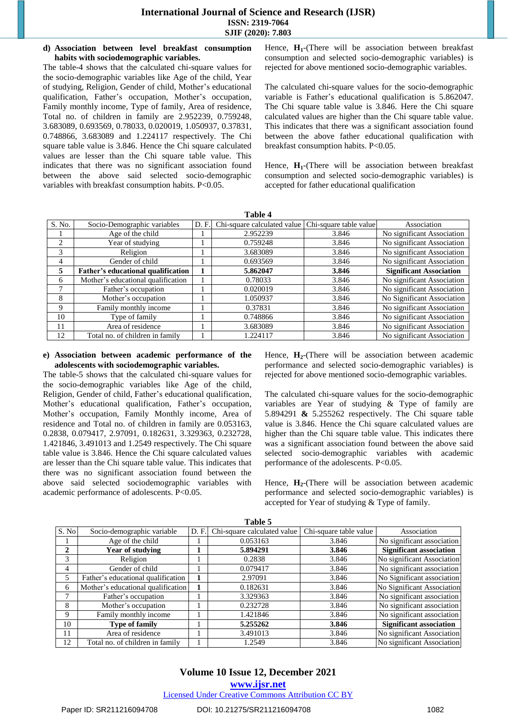## **International Journal of Science and Research (IJSR) ISSN: 2319-7064 SJIF (2020): 7.803**

#### **d) Association between level breakfast consumption habits with sociodemographic variables.**

The table-4 shows that the calculated chi-square values for the socio-demographic variables like Age of the child, Year of studying, Religion, Gender of child, Mother's educational qualification, Father's occupation, Mother's occupation, Family monthly income, Type of family, Area of residence, Total no. of children in family are 2.952239, 0.759248, 3.683089, 0.693569, 0.78033, 0.020019, 1.050937, 0.37831, 0.748866, 3.683089 and 1.224117 respectively. The Chi square table value is 3.846. Hence the Chi square calculated values are lesser than the Chi square table value. This indicates that there was no significant association found between the above said selected socio-demographic variables with breakfast consumption habits. P<0.05.

Hence, **H1**-(There will be association between breakfast consumption and selected socio-demographic variables) is rejected for above mentioned socio-demographic variables.

The calculated chi-square values for the socio-demographic variable is Father's educational qualification is 5.862047. The Chi square table value is 3.846. Here the Chi square calculated values are higher than the Chi square table value. This indicates that there was a significant association found between the above father educational qualification with breakfast consumption habits. P<0.05.

Hence,  $H_1$ -(There will be association between breakfast consumption and selected socio-demographic variables) is accepted for father educational qualification

| Table 4       |                                           |       |                             |                        |                                |
|---------------|-------------------------------------------|-------|-----------------------------|------------------------|--------------------------------|
| S. No.        | Socio-Demographic variables               | D. F. | Chi-square calculated value | Chi-square table value | Association                    |
|               | Age of the child                          |       | 2.952239                    | 3.846                  | No significant Association     |
| $\mathcal{L}$ | Year of studying                          |       | 0.759248                    | 3.846                  | No significant Association     |
| 3             | Religion                                  |       | 3.683089                    | 3.846                  | No significant Association     |
| 4             | Gender of child                           |       | 0.693569                    | 3.846                  | No significant Association     |
| 5             | <b>Father's educational qualification</b> |       | 5.862047                    | 3.846                  | <b>Significant Association</b> |
| 6             | Mother's educational qualification        |       | 0.78033                     | 3.846                  | No significant Association     |
| 7             | Father's occupation                       |       | 0.020019                    | 3.846                  | No significant Association     |
| 8             | Mother's occupation                       |       | 1.050937                    | 3.846                  | No Significant Association     |
| 9             | Family monthly income                     |       | 0.37831                     | 3.846                  | No significant Association     |
| 10            | Type of family                            |       | 0.748866                    | 3.846                  | No significant Association     |
| 11            | Area of residence                         |       | 3.683089                    | 3.846                  | No significant Association     |
| 12            | Total no. of children in family           |       | 1.224117                    | 3.846                  | No significant Association     |

#### **e) Association between academic performance of the adolescents with sociodemographic variables.**

The table-5 shows that the calculated chi-square values for the socio-demographic variables like Age of the child, Religion, Gender of child, Father's educational qualification, Mother's educational qualification, Father's occupation, Mother's occupation, Family Monthly income, Area of residence and Total no. of children in family are 0.053163, 0.2838, 0.079417, 2.97091, 0.182631, 3.329363, 0.232728, 1.421846, 3.491013 and 1.2549 respectively. The Chi square table value is 3.846. Hence the Chi square calculated values are lesser than the Chi square table value. This indicates that there was no significant association found between the above said selected sociodemographic variables with academic performance of adolescents. P<0.05.

Hence,  $H_2$ -(There will be association between academic performance and selected socio-demographic variables) is rejected for above mentioned socio-demographic variables.

The calculated chi-square values for the socio-demographic variables are Year of studying & Type of family are 5.894291 **&** 5.255262 respectively. The Chi square table value is 3.846. Hence the Chi square calculated values are higher than the Chi square table value. This indicates there was a significant association found between the above said selected socio-demographic variables with academic performance of the adolescents. P<0.05.

Hence, **H2**-(There will be association between academic performance and selected socio-demographic variables) is accepted for Year of studying & Type of family.

| Table 5 |                                    |      |                             |                        |                                |  |
|---------|------------------------------------|------|-----------------------------|------------------------|--------------------------------|--|
| S. No   | Socio-demographic variable         | D.F. | Chi-square calculated value | Chi-square table value | Association                    |  |
|         | Age of the child                   |      | 0.053163                    | 3.846                  | No significant association     |  |
| 2       | Year of studving                   |      | 5.894291                    | 3.846                  | <b>Significant association</b> |  |
| 3       | Religion                           |      | 0.2838                      | 3.846                  | No significant Association     |  |
| 4       | Gender of child                    |      | 0.079417                    | 3.846                  | No significant association     |  |
| 5       | Father's educational qualification |      | 2.97091                     | 3.846                  | No Significant association     |  |
| 6       | Mother's educational qualification |      | 0.182631                    | 3.846                  | No Significant Association     |  |
| ┑       | Father's occupation                |      | 3.329363                    | 3.846                  | No significant association     |  |
| 8       | Mother's occupation                |      | 0.232728                    | 3.846                  | No significant association     |  |
| 9       | Family monthly income              |      | 1.421846                    | 3.846                  | No significant association     |  |
| 10      | <b>Type of family</b>              |      | 5.255262                    | 3.846                  | <b>Significant association</b> |  |
| 11      | Area of residence                  |      | 3.491013                    | 3.846                  | No significant Association     |  |
| 12      | Total no. of children in family    |      | 1.2549                      | 3.846                  | No significant Association     |  |

**Table 5** 

**www.ijsr.net** Licensed Under Creative Commons Attribution CC BY